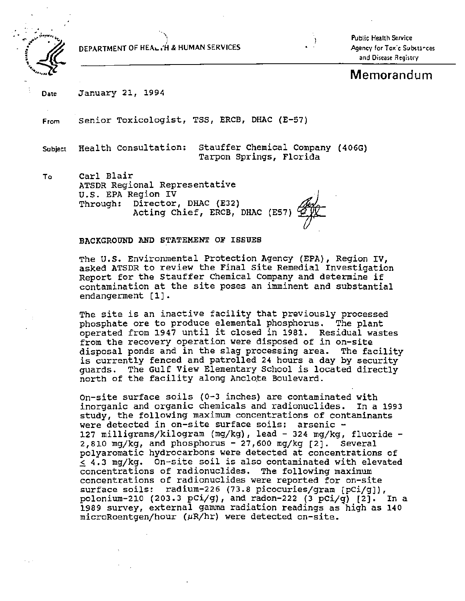

DEPARTMENT OF HEAL.a'H & HUMAN SERVICES

"'\ l

Public Health Service Agency for Toxic Substances and Disease Registry

# **Memorandum**

Date January 21, 1994

From Senior Toxicologist, TSS, ERCB, DHAC (E-57)

Subject Health Consultation: Stauffer Chemical Company (406G) Tarpon Springs, Florida

To Carl Blair ATSDR Regional Representative<br>U.S. EPA Region IV Through: Director, DHAC (E32) Acting Chief, ERCB, DHAC (E57  $\mathbb{Z}_{\geq 0}$ 

### BACKGROUND AND STATEMENT OF ISSUES

The u.s. Environmental Protection Agency (EPA), Region IV, asked ATSDR to review the Final Site Remedial Investigation Report for the Stauffer Chemical Company and determine if contamination at the site poses an imminent and substantial endangerment [1].

The site is an inactive facility that previously processed phosphate ore to produce elemental phosphorus. The plant operated from 1947 until it closed in 1981. Residual wastes from the recovery operation were disposed of in on-site<br>disposal ponds and in the slag processing area. The facility is currently fenced and patrolled 24 hours a day by security guards. The Gulf View Elementary School is located directly north of the facility along Anclote Boulevard.

on-site surface soils (0-3 inches) are contaminated with inorganic and organic chemicals and radionuclides. In a 1993 study, the following maximum concentrations of contaminants were detected in on-site surface soils: arsenic -127 milligrams/kilogram (mg/kg), lead - 324 mg/kg, fluoride - $2,810$  mg/kg, and phosphorus -  $27,600$  mg/kg  $[2]$ . Several polyaromatic hydrocarbons were detected at concentrations of  $\sim$  4.3 mg/kg. On-site soil is also contaminated with elevated concentrations of radionuclides. The following maximum concentrations of radionuclides were reported for on-site surface soils: radium-226 (73.8 picocuries/gram [pCi/g]), polonium-210 (203.3 pCi/g), and radon-222 (3 pCi/g)  $[2]$ . In a 1989 survey, external gamma radiation readings as high as 140  $microRoentgen/hour$  ( $\mu$ R/hr) were detected on-site.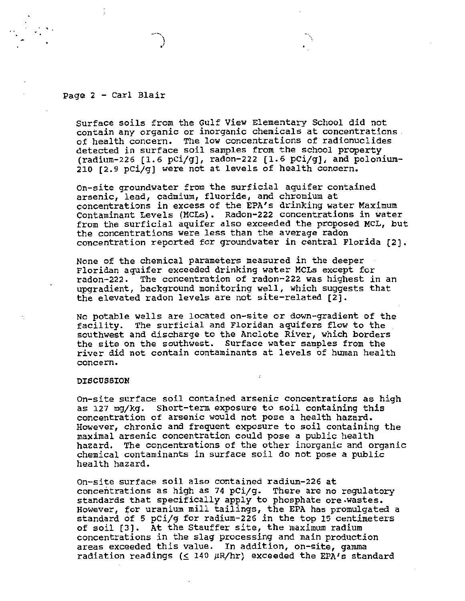### Page 2 - Carl Blair

Surface soils from the Gulf View Elementary School did not<br>contain any organic or inorganic chemicals at concentrations of health concern. The low concentrations of radionuclides detected in surface soil samples from the school property  $(radium-226 [1.6 pCi/g], radon-222 [1.6 pCi/g], and polonium-$ 210 [2.9 pci/g] were not at levels of health concern.

on-site groundwater from the surficial aquifer contained arsenic, lead, cadmium, fluoride, and chromium at concentrations in excess of the EPA's drinking water Maximum Contaminant Levels (MCLs). Radon-222 concentrations in water from the surficial aquifer also exceeded the proposed MCL, but the concentrations were less than the average radon concentration reported for groundwater in central Florida (2].

None of the chemical parameters measured in the deeper Floridan aquifer exceeded drinking water MCLs except for radon-222. The concentration of radon-222 was highest in an upgradient, background monitoring well, which suggests that the elevated radon levels are not site-related [2].

No potable wells are located on-site or down-gradient of the facility. The surficial and Floridan aquifers flow to the .<br>southwest and discharge to the Anclote River, which borders the site on the southwest. surface water samples from the river did not contain contaminants at levels of human health concern.

#### DISCUSSION

On-site surface soil contained arsenic concentrations as high as 127 mg/kg. Short-term exposure to soil containing this concentration of arsenic would not pose a health hazard. However, chronic and frequent exposure to soil containing the maximal arsenic concentration could pose a public health hazard. The concentrations of the other inorganic and organic chemical contaminants in surface soil do not pose a public health hazard.

On-site surface soil also contained radium-226 at concentrations as high as 74 pCi/g. There are no regulatory standards that specifically apply to phosphate ore.wastes. However, for uranium mill tailings, the EPA has promulgated a standard of 5 pCi/g for radium-226 in the top 15 centimeters of soil (3]. At the Stauffer site, the maximum radium concentrations in the slag processing and main production areas exceeded this value. In addition, on-site, gamma radiation readings ( $\leq$  140  $\mu$ R/hr) exceeded the EPA's standard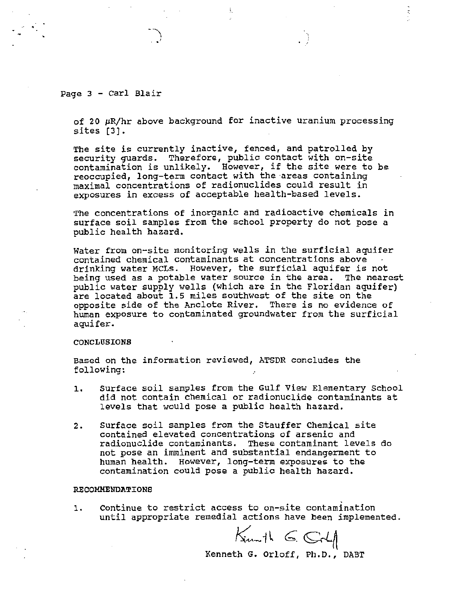### Page 3 - Carl Blair

of 20  $\mu$ R/hr above background for inactive uranium processing sites (3].

 $\begin{array}{c} \begin{array}{c} \hline \end{array} \\ \hline \end{array}$ 

The site is currently inactive, fenced, and patrolled by security guards. Therefore, public contact with on-site contamination is unlikely. However, if the site were to be reoccupied, long-term contact with the areas containing maximal concentrations of radionuclides could result in exposures in excess of acceptable health-based levels.

The concentrations of inorganic and radioactive chemicals in surface soil samples from the school property do not pose a public health hazard.

Water from on-site monitoring wells in the surficial aquifer contained chemical contaminants at concentrations above drinking water MCLs. However, the surficial aquifer is not being used as a potable water source in the area. The nearest public water supply wells (which are in the Floridan aquifer) are located about 1.5 miles southwest of the site on the opposite side of the Anclote River. There is no evidence of human exposure to contaminated groundwater from the surficial aquifer.

### CONCLUSIONS

Based on the information reviewed, ATSDR concludes the following: *:* 

- 1. Surface soil samples from the Gulf View Elementary School did not contain chemical or radionuclide contaminants at levels that would pose a public health hazard.
- 2. surface soil samples from the Stauffer Chemical site contained elevated concentrations of arsenic and radionuclide contaminants. These contaminant levels do not pose an imminent and substantial endangerment to human health. However, long-term exposures to the contamination could pose a public health hazard.

### RECOMMENDATIONS

1. Continue to restrict access to on-site contamination until appropriate remedial actions have been implemented.

 $K_{\text{turb}} \in$   $G_{\text{t}}$ 

Kenneth G. Orloff, Ph.D., DABT